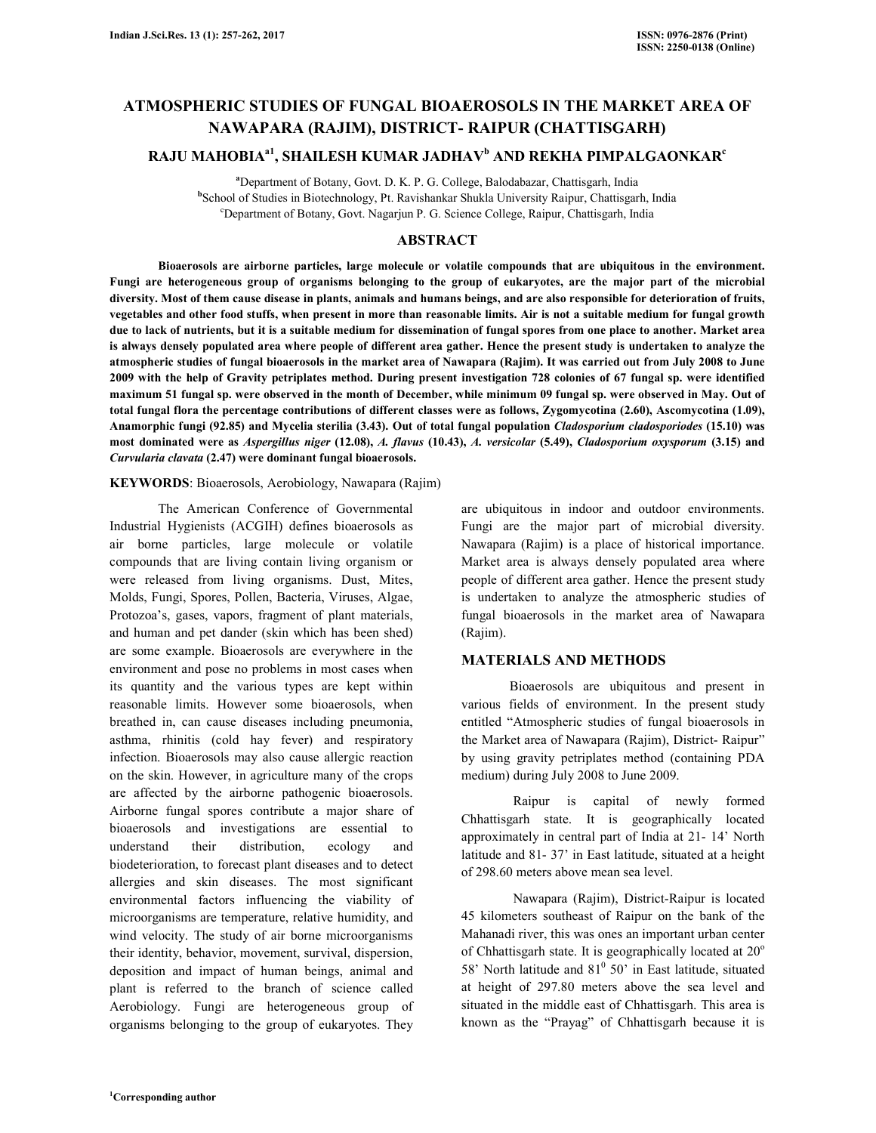# **ATMOSPHERIC STUDIES OF FUNGAL BIOAEROSOLS IN THE MARKET AREA OF NAWAPARA (RAJIM), DISTRICT- RAIPUR (CHATTISGARH)**

## **RAJU MAHOBIAa1, SHAILESH KUMAR JADHAV<sup>b</sup> AND REKHA PIMPALGAONKAR<sup>c</sup>**

**<sup>a</sup>**Department of Botany, Govt. D. K. P. G. College, Balodabazar, Chattisgarh, India **b** School of Studies in Biotechnology, Pt. Ravishankar Shukla University Raipur, Chattisgarh, India <sup>c</sup>Department of Botany, Govt. Nagarjun P. G. Science College, Raipur, Chattisgarh, India

## **ABSTRACT**

 **Bioaerosols are airborne particles, large molecule or volatile compounds that are ubiquitous in the environment. Fungi are heterogeneous group of organisms belonging to the group of eukaryotes, are the major part of the microbial diversity. Most of them cause disease in plants, animals and humans beings, and are also responsible for deterioration of fruits, vegetables and other food stuffs, when present in more than reasonable limits. Air is not a suitable medium for fungal growth due to lack of nutrients, but it is a suitable medium for dissemination of fungal spores from one place to another. Market area is always densely populated area where people of different area gather. Hence the present study is undertaken to analyze the atmospheric studies of fungal bioaerosols in the market area of Nawapara (Rajim). It was carried out from July 2008 to June 2009 with the help of Gravity petriplates method. During present investigation 728 colonies of 67 fungal sp. were identified maximum 51 fungal sp. were observed in the month of December, while minimum 09 fungal sp. were observed in May. Out of total fungal flora the percentage contributions of different classes were as follows, Zygomycotina (2.60), Ascomycotina (1.09), Anamorphic fungi (92.85) and Mycelia sterilia (3.43). Out of total fungal population** *Cladosporium cladosporiodes* **(15.10) was most dominated were as** *Aspergillus niger* **(12.08),** *A. flavus* **(10.43),** *A. versicolar* **(5.49),** *Cladosporium oxysporum* **(3.15) and**  *Curvularia clavata* **(2.47) were dominant fungal bioaerosols.** 

#### **KEYWORDS**: Bioaerosols, Aerobiology, Nawapara (Rajim)

 The American Conference of Governmental Industrial Hygienists (ACGIH) defines bioaerosols as air borne particles, large molecule or volatile compounds that are living contain living organism or were released from living organisms. Dust, Mites, Molds, Fungi, Spores, Pollen, Bacteria, Viruses, Algae, Protozoa's, gases, vapors, fragment of plant materials, and human and pet dander (skin which has been shed) are some example. Bioaerosols are everywhere in the environment and pose no problems in most cases when its quantity and the various types are kept within reasonable limits. However some bioaerosols, when breathed in, can cause diseases including pneumonia, asthma, rhinitis (cold hay fever) and respiratory infection. Bioaerosols may also cause allergic reaction on the skin. However, in agriculture many of the crops are affected by the airborne pathogenic bioaerosols. Airborne fungal spores contribute a major share of bioaerosols and investigations are essential to understand their distribution, ecology and biodeterioration, to forecast plant diseases and to detect allergies and skin diseases. The most significant environmental factors influencing the viability of microorganisms are temperature, relative humidity, and wind velocity. The study of air borne microorganisms their identity, behavior, movement, survival, dispersion, deposition and impact of human beings, animal and plant is referred to the branch of science called Aerobiology. Fungi are heterogeneous group of organisms belonging to the group of eukaryotes. They

are ubiquitous in indoor and outdoor environments. Fungi are the major part of microbial diversity. Nawapara (Rajim) is a place of historical importance. Market area is always densely populated area where people of different area gather. Hence the present study is undertaken to analyze the atmospheric studies of fungal bioaerosols in the market area of Nawapara (Rajim).

#### **MATERIALS AND METHODS**

 Bioaerosols are ubiquitous and present in various fields of environment. In the present study entitled "Atmospheric studies of fungal bioaerosols in the Market area of Nawapara (Rajim), District- Raipur" by using gravity petriplates method (containing PDA medium) during July 2008 to June 2009.

 Raipur is capital of newly formed Chhattisgarh state. It is geographically located approximately in central part of India at 21- 14' North latitude and 81- 37' in East latitude, situated at a height of 298.60 meters above mean sea level.

 Nawapara (Rajim), District-Raipur is located 45 kilometers southeast of Raipur on the bank of the Mahanadi river, this was ones an important urban center of Chhattisgarh state. It is geographically located at  $20^{\circ}$ 58' North latitude and  $81^{\circ}$  50' in East latitude, situated at height of 297.80 meters above the sea level and situated in the middle east of Chhattisgarh. This area is known as the "Prayag" of Chhattisgarh because it is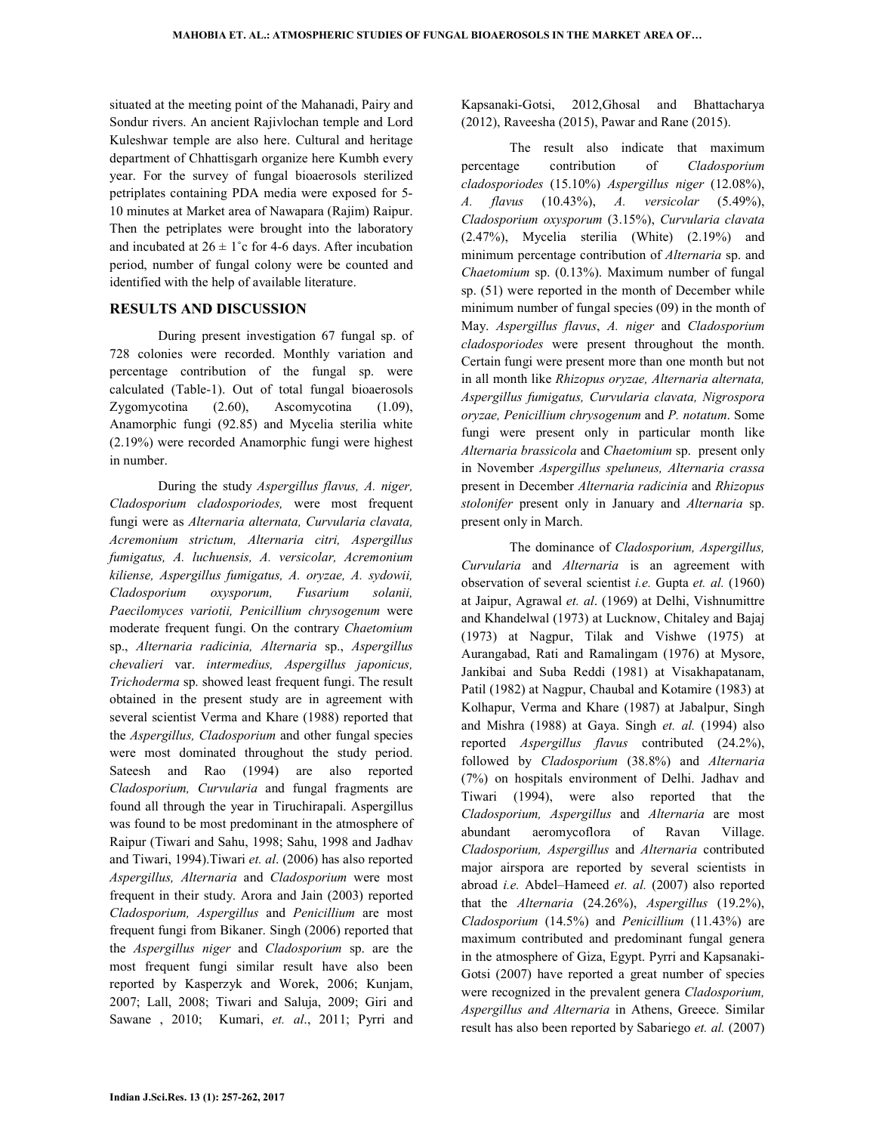situated at the meeting point of the Mahanadi, Pairy and Sondur rivers. An ancient Rajivlochan temple and Lord Kuleshwar temple are also here. Cultural and heritage department of Chhattisgarh organize here Kumbh every year. For the survey of fungal bioaerosols sterilized petriplates containing PDA media were exposed for 5- 10 minutes at Market area of Nawapara (Rajim) Raipur. Then the petriplates were brought into the laboratory and incubated at  $26 \pm 1^{\circ}$ c for 4-6 days. After incubation period, number of fungal colony were be counted and identified with the help of available literature.

#### **RESULTS AND DISCUSSION**

During present investigation 67 fungal sp. of 728 colonies were recorded. Monthly variation and percentage contribution of the fungal sp. were calculated (Table-1). Out of total fungal bioaerosols Zygomycotina (2.60), Ascomycotina (1.09), Anamorphic fungi (92.85) and Mycelia sterilia white (2.19%) were recorded Anamorphic fungi were highest in number.

 During the study *Aspergillus flavus, A. niger, Cladosporium cladosporiodes,* were most frequent fungi were as *Alternaria alternata, Curvularia clavata, Acremonium strictum, Alternaria citri, Aspergillus fumigatus, A. luchuensis, A. versicolar, Acremonium kiliense, Aspergillus fumigatus, A. oryzae, A. sydowii, Cladosporium oxysporum, Fusarium solanii, Paecilomyces variotii, Penicillium chrysogenum* were moderate frequent fungi. On the contrary *Chaetomium* sp., *Alternaria radicinia, Alternaria* sp., *Aspergillus chevalieri* var. *intermedius, Aspergillus japonicus, Trichoderma* sp. showed least frequent fungi. The result obtained in the present study are in agreement with several scientist Verma and Khare (1988) reported that the *Aspergillus, Cladosporium* and other fungal species were most dominated throughout the study period. Sateesh and Rao (1994) are also reported *Cladosporium, Curvularia* and fungal fragments are found all through the year in Tiruchirapali. Aspergillus was found to be most predominant in the atmosphere of Raipur (Tiwari and Sahu, 1998; Sahu, 1998 and Jadhav and Tiwari, 1994).Tiwari *et. al*. (2006) has also reported *Aspergillus, Alternaria* and *Cladosporium* were most frequent in their study. Arora and Jain (2003) reported *Cladosporium, Aspergillus* and *Penicillium* are most frequent fungi from Bikaner. Singh (2006) reported that the *Aspergillus niger* and *Cladosporium* sp. are the most frequent fungi similar result have also been reported by Kasperzyk and Worek, 2006; Kunjam, 2007; Lall, 2008; Tiwari and Saluja, 2009; Giri and Sawane , 2010; Kumari, *et. al*., 2011; Pyrri and

Kapsanaki-Gotsi, 2012,Ghosal and Bhattacharya (2012), Raveesha (2015), Pawar and Rane (2015).

The result also indicate that maximum percentage contribution of *Cladosporium cladosporiodes* (15.10%) *Aspergillus niger* (12.08%), *A. flavus* (10.43%), *A. versicolar* (5.49%), *Cladosporium oxysporum* (3.15%), *Curvularia clavata* (2.47%), Mycelia sterilia (White) (2.19%) and minimum percentage contribution of *Alternaria* sp. and *Chaetomium* sp. (0.13%). Maximum number of fungal sp. (51) were reported in the month of December while minimum number of fungal species (09) in the month of May. *Aspergillus flavus*, *A. niger* and *Cladosporium cladosporiodes* were present throughout the month. Certain fungi were present more than one month but not in all month like *Rhizopus oryzae, Alternaria alternata, Aspergillus fumigatus, Curvularia clavata, Nigrospora oryzae, Penicillium chrysogenum* and *P. notatum*. Some fungi were present only in particular month like *Alternaria brassicola* and *Chaetomium* sp. present only in November *Aspergillus speluneus, Alternaria crassa*  present in December *Alternaria radicinia* and *Rhizopus stolonifer* present only in January and *Alternaria* sp. present only in March.

The dominance of *Cladosporium, Aspergillus, Curvularia* and *Alternaria* is an agreement with observation of several scientist *i.e.* Gupta *et. al.* (1960) at Jaipur, Agrawal *et. al*. (1969) at Delhi, Vishnumittre and Khandelwal (1973) at Lucknow, Chitaley and Bajaj (1973) at Nagpur, Tilak and Vishwe (1975) at Aurangabad, Rati and Ramalingam (1976) at Mysore, Jankibai and Suba Reddi (1981) at Visakhapatanam, Patil (1982) at Nagpur, Chaubal and Kotamire (1983) at Kolhapur, Verma and Khare (1987) at Jabalpur, Singh and Mishra (1988) at Gaya. Singh *et. al.* (1994) also reported *Aspergillus flavus* contributed (24.2%), followed by *Cladosporium* (38.8%) and *Alternaria* (7%) on hospitals environment of Delhi. Jadhav and Tiwari (1994), were also reported that the *Cladosporium, Aspergillus* and *Alternaria* are most abundant aeromycoflora of Ravan Village. *Cladosporium, Aspergillus* and *Alternaria* contributed major airspora are reported by several scientists in abroad *i.e.* Abdel–Hameed *et. al.* (2007) also reported that the *Alternaria* (24.26%), *Aspergillus* (19.2%), *Cladosporium* (14.5%) and *Penicillium* (11.43%) are maximum contributed and predominant fungal genera in the atmosphere of Giza, Egypt. Pyrri and Kapsanaki-Gotsi (2007) have reported a great number of species were recognized in the prevalent genera *Cladosporium, Aspergillus and Alternaria* in Athens, Greece. Similar result has also been reported by Sabariego *et. al.* (2007)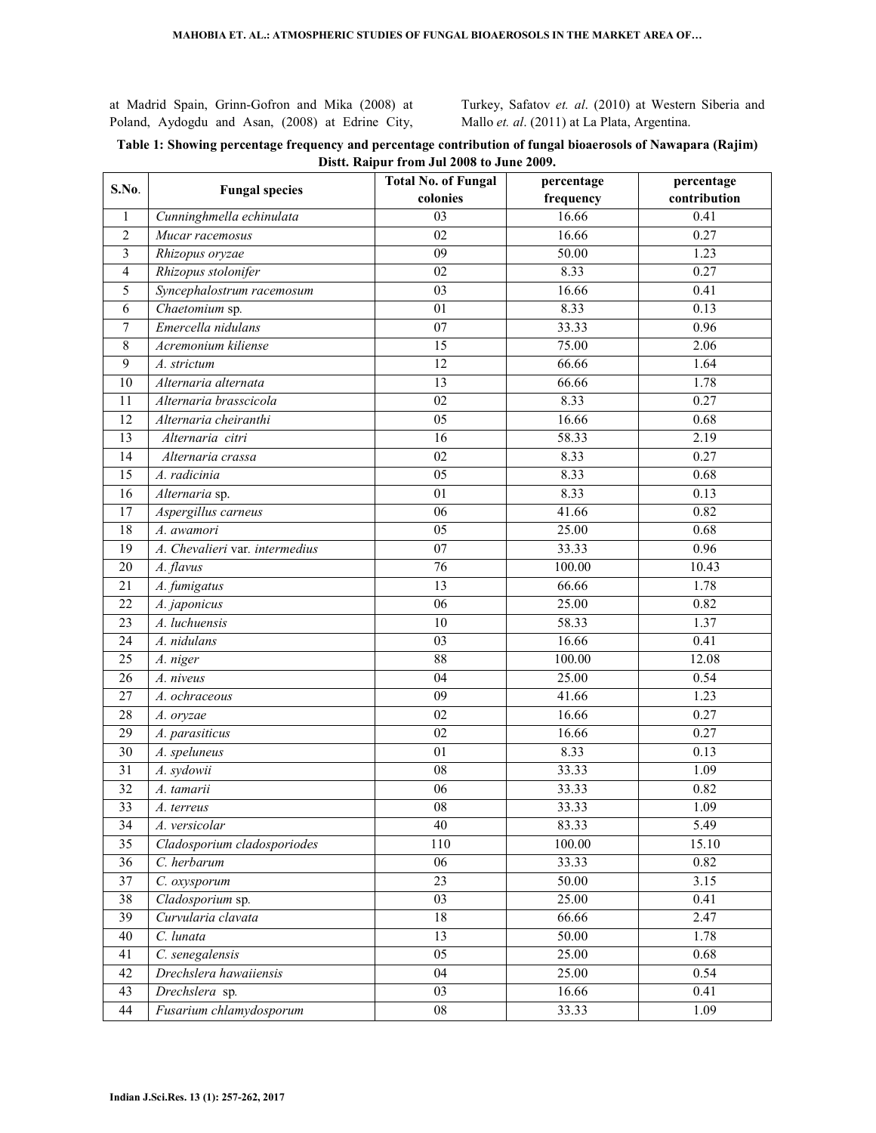at Madrid Spain, Grinn-Gofron and Mika (2008) at Poland, Aydogdu and Asan, (2008) at Edrine City,

Turkey, Safatov *et. al*. (2010) at Western Siberia and Mallo *et. al*. (2011) at La Plata, Argentina.

## **Table 1: Showing percentage frequency and percentage contribution of fungal bioaerosols of Nawapara (Rajim) Distt. Raipur from Jul 2008 to June 2009.**

| S.No.            |                                | <b>Total No. of Fungal</b> | percentage | percentage   |  |  |
|------------------|--------------------------------|----------------------------|------------|--------------|--|--|
|                  | <b>Fungal species</b>          | colonies                   | frequency  | contribution |  |  |
| 1                | Cunninghmella echinulata       | 03                         | 16.66      | 0.41         |  |  |
| $\overline{2}$   | Mucar racemosus                | 02                         | 16.66      | 0.27         |  |  |
| 3                | Rhizopus oryzae                | $\overline{09}$            | 50.00      | 1.23         |  |  |
| 4                | Rhizopus stolonifer            | 02                         | 8.33       | 0.27         |  |  |
| 5                | Syncephalostrum racemosum      | $\overline{03}$            | 16.66      | 0.41         |  |  |
| 6                | Chaetomium sp.                 | 01                         | 8.33       | 0.13         |  |  |
| $\boldsymbol{7}$ | Emercella nidulans             | 07                         | 33.33      | 0.96         |  |  |
| $\,8\,$          | Acremonium kiliense            | 15                         | 75.00      | 2.06         |  |  |
| 9                | A. strictum                    | 12                         | 66.66      | 1.64         |  |  |
| 10               | Alternaria alternata           | 13                         | 66.66      | 1.78         |  |  |
| 11               | Alternaria brasscicola         | $\overline{02}$            | 8.33       | 0.27         |  |  |
| 12               | Alternaria cheiranthi          | $\overline{05}$            | 16.66      | 0.68         |  |  |
| 13               | Alternaria citri               | $\overline{16}$            | 58.33      | 2.19         |  |  |
| 14               | Alternaria crassa              | 02                         | 8.33       | 0.27         |  |  |
| 15               | A. radicinia                   | 05                         | 8.33       | 0.68         |  |  |
| 16               | Alternaria sp.                 | 01                         | 8.33       | 0.13         |  |  |
| $\overline{17}$  | Aspergillus carneus            | $\overline{06}$            | 41.66      | 0.82         |  |  |
| 18               | A. awamori                     | $\overline{05}$            | 25.00      | 0.68         |  |  |
| 19               | A. Chevalieri var. intermedius | $\overline{07}$            | 33.33      | 0.96         |  |  |
| 20               | A. flavus                      | 76                         | 100.00     | 10.43        |  |  |
| 21               | A. fumigatus                   | $\overline{13}$            | 66.66      | 1.78         |  |  |
| 22               | A. japonicus                   | 06                         | 25.00      | 0.82         |  |  |
| 23               | A. luchuensis                  | 10                         | 58.33      | 1.37         |  |  |
| 24               | A. nidulans                    | $\overline{03}$            | 16.66      | 0.41         |  |  |
| 25               | A. niger                       | 88                         | 100.00     | 12.08        |  |  |
| $\overline{26}$  | A. niveus                      | $\overline{04}$            | 25.00      | 0.54         |  |  |
| $\overline{27}$  | A. ochraceous                  | $\overline{09}$            | 41.66      | 1.23         |  |  |
| 28               | A. oryzae                      | 02                         | 16.66      | 0.27         |  |  |
| 29               | A. parasiticus                 | $\overline{02}$            | 16.66      | 0.27         |  |  |
| 30               | A. speluneus                   | 01                         | 8.33       | 0.13         |  |  |
| 31               | A. sydowii                     | 08                         | 33.33      | 1.09         |  |  |
| $\overline{32}$  | A. tamarii                     | 06                         | 33.33      | 0.82         |  |  |
| 33               | A. terreus                     | 08                         | 33.33      | 1.09         |  |  |
| 34               | A. versicolar                  | 40                         | 83.33      | 5.49         |  |  |
| 35               | Cladosporium cladosporiodes    | 110                        | 100.00     | 15.10        |  |  |
| 36               | C. herbarum                    | $\overline{06}$            | 33.33      | 0.82         |  |  |
| 37               | C. oxysporum                   | 23                         | 50.00      | 3.15         |  |  |
| 38               | Cladosporium sp.               | 03                         | 25.00      | 0.41         |  |  |
| 39               | Curvularia clavata             | 18                         | 66.66      | 2.47         |  |  |
| $40\,$           | C. lunata                      | $\overline{13}$            | 50.00      | 1.78         |  |  |
| 41               | C. senegalensis                | $\overline{05}$            | 25.00      | 0.68         |  |  |
| 42               | Drechslera hawaiiensis         | $\overline{04}$            | 25.00      | 0.54         |  |  |
| 43               | Drechslera sp.                 | $\overline{03}$            | 16.66      | 0.41         |  |  |
| 44               | Fusarium chlamydosporum        | ${\bf 08}$                 | 33.33      | 1.09         |  |  |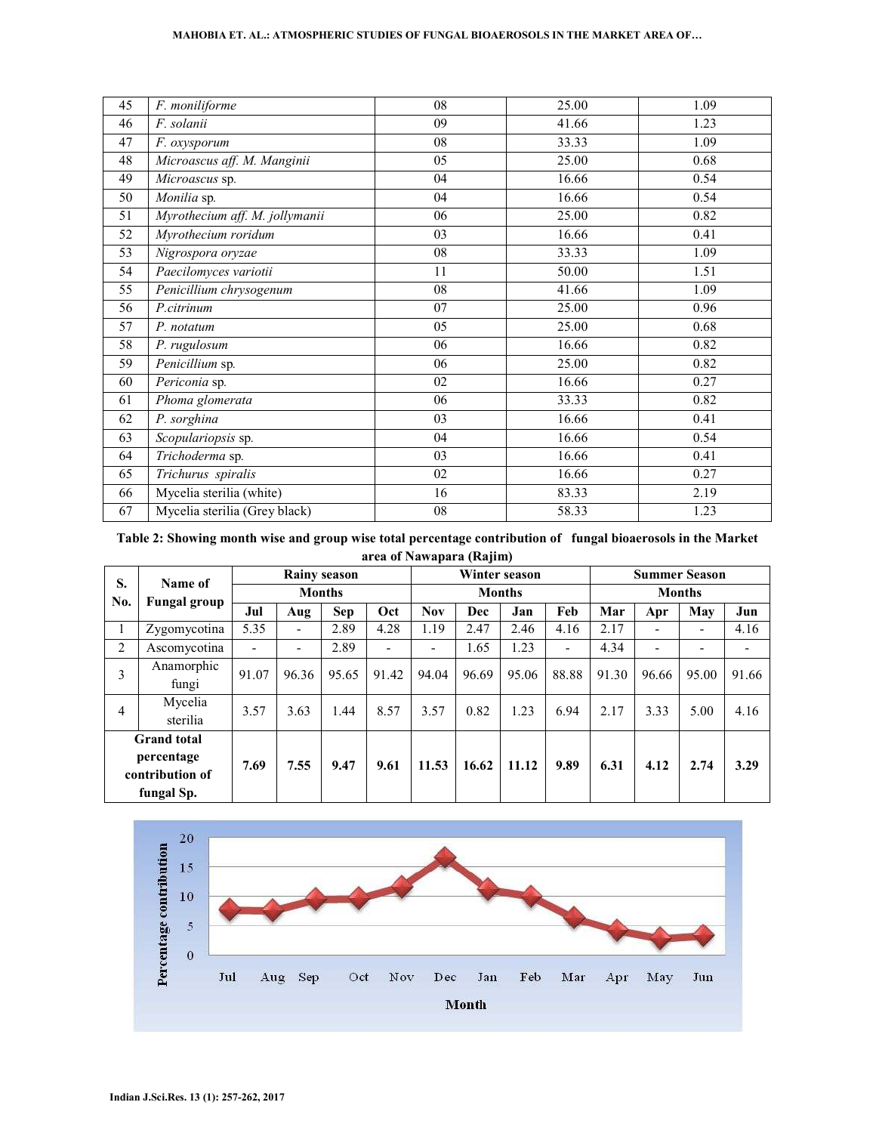#### **MAHOBIA ET. AL.: ATMOSPHERIC STUDIES OF FUNGAL BIOAEROSOLS IN THE MARKET AREA OF…**

| 45 | F. moniliforme                 | 08 | 25.00 | 1.09 |
|----|--------------------------------|----|-------|------|
| 46 | F. solanii                     | 09 | 41.66 | 1.23 |
| 47 | F. oxysporum                   | 08 | 33.33 | 1.09 |
| 48 | Microascus aff. M. Manginii    | 05 | 25.00 | 0.68 |
| 49 | Microascus sp.                 | 04 | 16.66 | 0.54 |
| 50 | Monilia sp.                    | 04 | 16.66 | 0.54 |
| 51 | Myrothecium aff. M. jollymanii | 06 | 25.00 | 0.82 |
| 52 | Myrothecium roridum            | 03 | 16.66 | 0.41 |
| 53 | Nigrospora oryzae              | 08 | 33.33 | 1.09 |
| 54 | Paecilomyces variotii          | 11 | 50.00 | 1.51 |
| 55 | Penicillium chrysogenum        | 08 | 41.66 | 1.09 |
| 56 | P.citrinum                     | 07 | 25.00 | 0.96 |
| 57 | P. notatum                     | 05 | 25.00 | 0.68 |
| 58 | P. rugulosum                   | 06 | 16.66 | 0.82 |
| 59 | $\overline{Pe}$ nicillium sp.  | 06 | 25.00 | 0.82 |
| 60 | Periconia sp.                  | 02 | 16.66 | 0.27 |
| 61 | Phoma glomerata                | 06 | 33.33 | 0.82 |
| 62 | P. sorghina                    | 03 | 16.66 | 0.41 |
| 63 | Scopulariopsis sp.             | 04 | 16.66 | 0.54 |
| 64 | Trichoderma sp.                | 03 | 16.66 | 0.41 |
| 65 | Trichurus spiralis             | 02 | 16.66 | 0.27 |
| 66 | Mycelia sterilia (white)       | 16 | 83.33 | 2.19 |
| 67 | Mycelia sterilia (Grey black)  | 08 | 58.33 | 1.23 |

**Table 2: Showing month wise and group wise total percentage contribution of fungal bioaerosols in the Market area of Nawapara (Rajim)**

| S.<br>No.                                                         | Name of<br><b>Fungal group</b> | <b>Rainy season</b> |       |            | Winter season |            |       | <b>Summer Season</b> |       |       |       |       |       |
|-------------------------------------------------------------------|--------------------------------|---------------------|-------|------------|---------------|------------|-------|----------------------|-------|-------|-------|-------|-------|
|                                                                   |                                | <b>Months</b>       |       |            | <b>Months</b> |            |       | <b>Months</b>        |       |       |       |       |       |
|                                                                   |                                | Jul                 | Aug   | <b>Sep</b> | Oct           | <b>Nov</b> | Dec   | Jan                  | Feb   | Mar   | Apr   | May   | Jun   |
|                                                                   | Zygomycotina                   | 5.35                |       | 2.89       | 4.28          | 1.19       | 2.47  | 2.46                 | 4.16  | 2.17  | -     | -     | 4.16  |
| 2                                                                 | Ascomycotina                   |                     |       | 2.89       |               | ۰          | 1.65  | 1.23                 | ۰     | 4.34  | -     | -     |       |
| 3                                                                 | Anamorphic<br>fungi            | 91.07               | 96.36 | 95.65      | 91.42         | 94.04      | 96.69 | 95.06                | 88.88 | 91.30 | 96.66 | 95.00 | 91.66 |
| 4                                                                 | Mycelia<br>sterilia            | 3.57                | 3.63  | 1.44       | 8.57          | 3.57       | 0.82  | 1.23                 | 6.94  | 2.17  | 3.33  | 5.00  | 4.16  |
| <b>Grand</b> total<br>percentage<br>contribution of<br>fungal Sp. |                                | 7.69                | 7.55  | 9.47       | 9.61          | 11.53      | 16.62 | 11.12                | 9.89  | 6.31  | 4.12  | 2.74  | 3.29  |

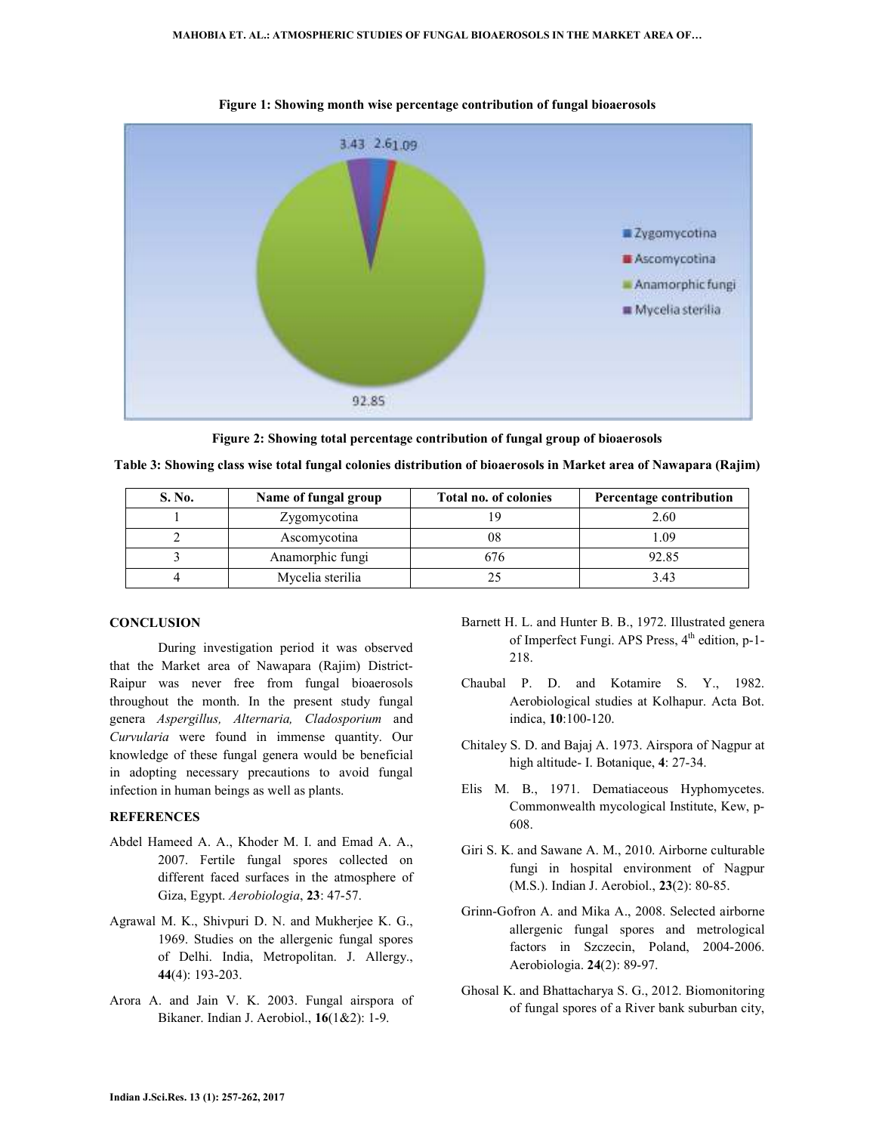

**Figure 1: Showing month wise percentage contribution of fungal bioaerosols** 

**Figure 2: Showing total percentage contribution of fungal group of bioaerosols** 

| S. No. | Name of fungal group | Total no. of colonies | Percentage contribution |  |  |
|--------|----------------------|-----------------------|-------------------------|--|--|
|        | Zygomycotina         | 19                    | 2.60                    |  |  |
|        | Ascomycotina         | 08                    | 1.09                    |  |  |
|        | Anamorphic fungi     | 676                   | 92.85                   |  |  |
|        | Mycelia sterilia     |                       | 3.43                    |  |  |

**Table 3: Showing class wise total fungal colonies distribution of bioaerosols in Market area of Nawapara (Rajim)** 

#### **CONCLUSION**

During investigation period it was observed that the Market area of Nawapara (Rajim) District-Raipur was never free from fungal bioaerosols throughout the month. In the present study fungal genera *Aspergillus, Alternaria, Cladosporium* and *Curvularia* were found in immense quantity. Our knowledge of these fungal genera would be beneficial in adopting necessary precautions to avoid fungal infection in human beings as well as plants.

#### **REFERENCES**

- Abdel Hameed A. A., Khoder M. I. and Emad A. A., 2007. Fertile fungal spores collected on different faced surfaces in the atmosphere of Giza, Egypt. *Aerobiologia*, **23**: 47-57.
- Agrawal M. K., Shivpuri D. N. and Mukherjee K. G., 1969. Studies on the allergenic fungal spores of Delhi. India, Metropolitan. J. Allergy., **44**(4): 193-203.
- Arora A. and Jain V. K. 2003. Fungal airspora of Bikaner. Indian J. Aerobiol., **16**(1&2): 1-9.
- Barnett H. L. and Hunter B. B., 1972. Illustrated genera of Imperfect Fungi. APS Press, 4<sup>th</sup> edition, p-1-218.
- Chaubal P. D. and Kotamire S. Y., 1982. Aerobiological studies at Kolhapur. Acta Bot. indica, **10**:100-120.
- Chitaley S. D. and Bajaj A. 1973. Airspora of Nagpur at high altitude- I. Botanique, **4**: 27-34.
- Elis M. B., 1971. Dematiaceous Hyphomycetes. Commonwealth mycological Institute, Kew, p-608.
- Giri S. K. and Sawane A. M., 2010. Airborne culturable fungi in hospital environment of Nagpur (M.S.). Indian J. Aerobiol., **23**(2): 80-85.
- Grinn-Gofron A. and Mika A., 2008. Selected airborne allergenic fungal spores and metrological factors in Szczecin, Poland, 2004-2006. Aerobiologia. **24**(2): 89-97.
- Ghosal K. and Bhattacharya S. G., 2012. Biomonitoring of fungal spores of a River bank suburban city,